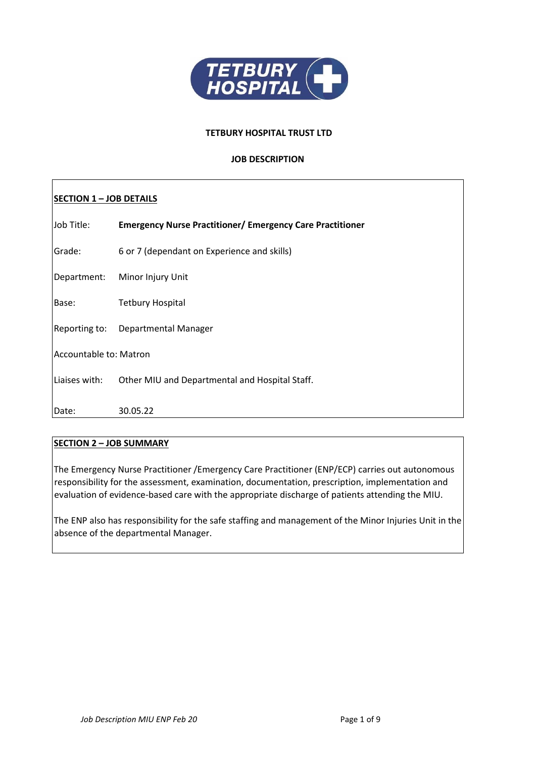

### **TETBURY HOSPITAL TRUST LTD**

# **JOB DESCRIPTION**

# **SECTION 1 – JOB DETAILS**

| Job Title:             | <b>Emergency Nurse Practitioner/ Emergency Care Practitioner</b> |  |
|------------------------|------------------------------------------------------------------|--|
| Grade:                 | 6 or 7 (dependant on Experience and skills)                      |  |
| Department:            | Minor Injury Unit                                                |  |
| Base:                  | <b>Tetbury Hospital</b>                                          |  |
| Reporting to:          | Departmental Manager                                             |  |
| Accountable to: Matron |                                                                  |  |
| Liaises with:          | Other MIU and Departmental and Hospital Staff.                   |  |
| Date:                  | 30.05.22                                                         |  |

# **SECTION 2 – JOB SUMMARY**

The Emergency Nurse Practitioner /Emergency Care Practitioner (ENP/ECP) carries out autonomous responsibility for the assessment, examination, documentation, prescription, implementation and evaluation of evidence-based care with the appropriate discharge of patients attending the MIU.

The ENP also has responsibility for the safe staffing and management of the Minor Injuries Unit in the absence of the departmental Manager.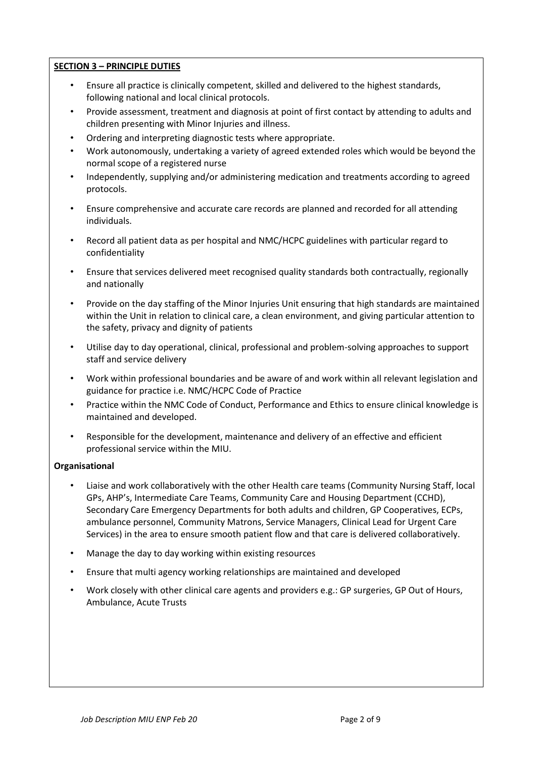# **SECTION 3 – PRINCIPLE DUTIES**

- Ensure all practice is clinically competent, skilled and delivered to the highest standards, following national and local clinical protocols.
- Provide assessment, treatment and diagnosis at point of first contact by attending to adults and children presenting with Minor Injuries and illness.
- Ordering and interpreting diagnostic tests where appropriate.
- Work autonomously, undertaking a variety of agreed extended roles which would be beyond the normal scope of a registered nurse
- Independently, supplying and/or administering medication and treatments according to agreed protocols.
- Ensure comprehensive and accurate care records are planned and recorded for all attending individuals.
- Record all patient data as per hospital and NMC/HCPC guidelines with particular regard to confidentiality
- Ensure that services delivered meet recognised quality standards both contractually, regionally and nationally
- Provide on the day staffing of the Minor Injuries Unit ensuring that high standards are maintained within the Unit in relation to clinical care, a clean environment, and giving particular attention to the safety, privacy and dignity of patients
- Utilise day to day operational, clinical, professional and problem-solving approaches to support staff and service delivery
- Work within professional boundaries and be aware of and work within all relevant legislation and guidance for practice i.e. NMC/HCPC Code of Practice
- Practice within the NMC Code of Conduct, Performance and Ethics to ensure clinical knowledge is maintained and developed.
- Responsible for the development, maintenance and delivery of an effective and efficient professional service within the MIU.

# **Organisational**

- Liaise and work collaboratively with the other Health care teams (Community Nursing Staff, local GPs, AHP's, Intermediate Care Teams, Community Care and Housing Department (CCHD), Secondary Care Emergency Departments for both adults and children, GP Cooperatives, ECPs, ambulance personnel, Community Matrons, Service Managers, Clinical Lead for Urgent Care Services) in the area to ensure smooth patient flow and that care is delivered collaboratively.
- Manage the day to day working within existing resources
- Ensure that multi agency working relationships are maintained and developed
- Work closely with other clinical care agents and providers e.g.: GP surgeries, GP Out of Hours, Ambulance, Acute Trusts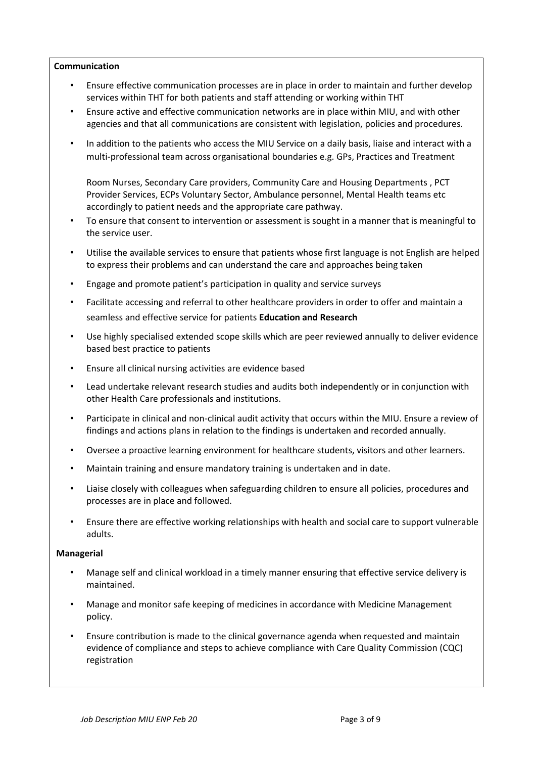# **Communication**

- Ensure effective communication processes are in place in order to maintain and further develop services within THT for both patients and staff attending or working within THT
- Ensure active and effective communication networks are in place within MIU, and with other agencies and that all communications are consistent with legislation, policies and procedures.
- In addition to the patients who access the MIU Service on a daily basis, liaise and interact with a multi-professional team across organisational boundaries e.g. GPs, Practices and Treatment

Room Nurses, Secondary Care providers, Community Care and Housing Departments , PCT Provider Services, ECPs Voluntary Sector, Ambulance personnel, Mental Health teams etc accordingly to patient needs and the appropriate care pathway.

- To ensure that consent to intervention or assessment is sought in a manner that is meaningful to the service user.
- Utilise the available services to ensure that patients whose first language is not English are helped to express their problems and can understand the care and approaches being taken
- Engage and promote patient's participation in quality and service surveys
- Facilitate accessing and referral to other healthcare providers in order to offer and maintain a seamless and effective service for patients **Education and Research**
- Use highly specialised extended scope skills which are peer reviewed annually to deliver evidence based best practice to patients
- Ensure all clinical nursing activities are evidence based
- Lead undertake relevant research studies and audits both independently or in conjunction with other Health Care professionals and institutions.
- Participate in clinical and non-clinical audit activity that occurs within the MIU. Ensure a review of findings and actions plans in relation to the findings is undertaken and recorded annually.
- Oversee a proactive learning environment for healthcare students, visitors and other learners.
- Maintain training and ensure mandatory training is undertaken and in date.
- Liaise closely with colleagues when safeguarding children to ensure all policies, procedures and processes are in place and followed.
- Ensure there are effective working relationships with health and social care to support vulnerable adults.

#### **Managerial**

- Manage self and clinical workload in a timely manner ensuring that effective service delivery is maintained.
- Manage and monitor safe keeping of medicines in accordance with Medicine Management policy.
- Ensure contribution is made to the clinical governance agenda when requested and maintain evidence of compliance and steps to achieve compliance with Care Quality Commission (CQC) registration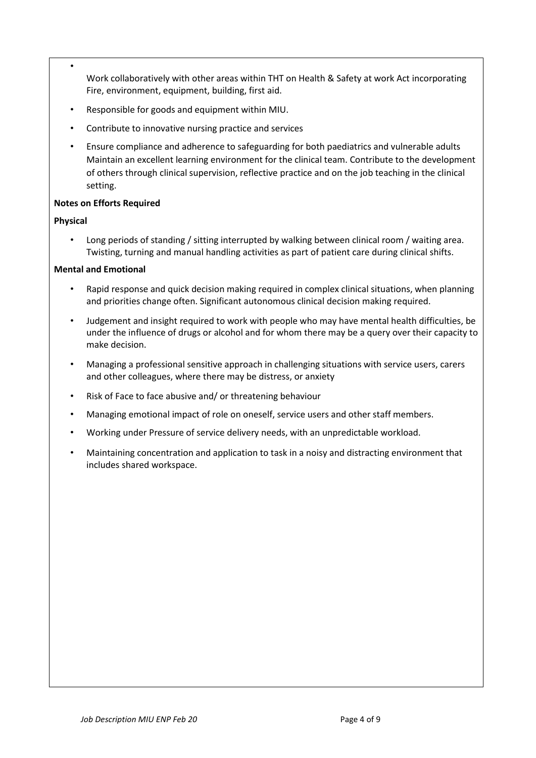- Work collaboratively with other areas within THT on Health & Safety at work Act incorporating Fire, environment, equipment, building, first aid.
- Responsible for goods and equipment within MIU.
- Contribute to innovative nursing practice and services
- Ensure compliance and adherence to safeguarding for both paediatrics and vulnerable adults Maintain an excellent learning environment for the clinical team. Contribute to the development of others through clinical supervision, reflective practice and on the job teaching in the clinical setting.

# **Notes on Efforts Required**

# **Physical**

• Long periods of standing / sitting interrupted by walking between clinical room / waiting area. Twisting, turning and manual handling activities as part of patient care during clinical shifts.

# **Mental and Emotional**

- Rapid response and quick decision making required in complex clinical situations, when planning and priorities change often. Significant autonomous clinical decision making required.
- Judgement and insight required to work with people who may have mental health difficulties, be under the influence of drugs or alcohol and for whom there may be a query over their capacity to make decision.
- Managing a professional sensitive approach in challenging situations with service users, carers and other colleagues, where there may be distress, or anxiety
- Risk of Face to face abusive and/ or threatening behaviour
- Managing emotional impact of role on oneself, service users and other staff members.
- Working under Pressure of service delivery needs, with an unpredictable workload.
- Maintaining concentration and application to task in a noisy and distracting environment that includes shared workspace.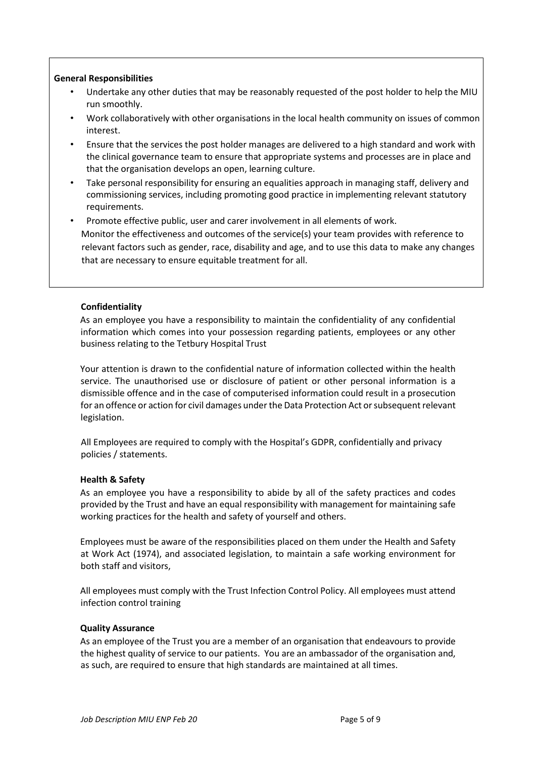# **General Responsibilities**

- Undertake any other duties that may be reasonably requested of the post holder to help the MIU run smoothly.
- Work collaboratively with other organisations in the local health community on issues of common interest.
- Ensure that the services the post holder manages are delivered to a high standard and work with the clinical governance team to ensure that appropriate systems and processes are in place and that the organisation develops an open, learning culture.
- Take personal responsibility for ensuring an equalities approach in managing staff, delivery and commissioning services, including promoting good practice in implementing relevant statutory requirements.
- Promote effective public, user and carer involvement in all elements of work. Monitor the effectiveness and outcomes of the service(s) your team provides with reference to relevant factors such as gender, race, disability and age, and to use this data to make any changes that are necessary to ensure equitable treatment for all.

# **Confidentiality**

As an employee you have a responsibility to maintain the confidentiality of any confidential information which comes into your possession regarding patients, employees or any other business relating to the Tetbury Hospital Trust

Your attention is drawn to the confidential nature of information collected within the health service. The unauthorised use or disclosure of patient or other personal information is a dismissible offence and in the case of computerised information could result in a prosecution for an offence or action for civil damages under the Data Protection Act or subsequent relevant legislation.

All Employees are required to comply with the Hospital's GDPR, confidentially and privacy policies / statements.

#### **Health & Safety**

As an employee you have a responsibility to abide by all of the safety practices and codes provided by the Trust and have an equal responsibility with management for maintaining safe working practices for the health and safety of yourself and others.

Employees must be aware of the responsibilities placed on them under the Health and Safety at Work Act (1974), and associated legislation, to maintain a safe working environment for both staff and visitors,

All employees must comply with the Trust Infection Control Policy. All employees must attend infection control training

#### **Quality Assurance**

As an employee of the Trust you are a member of an organisation that endeavours to provide the highest quality of service to our patients. You are an ambassador of the organisation and, as such, are required to ensure that high standards are maintained at all times.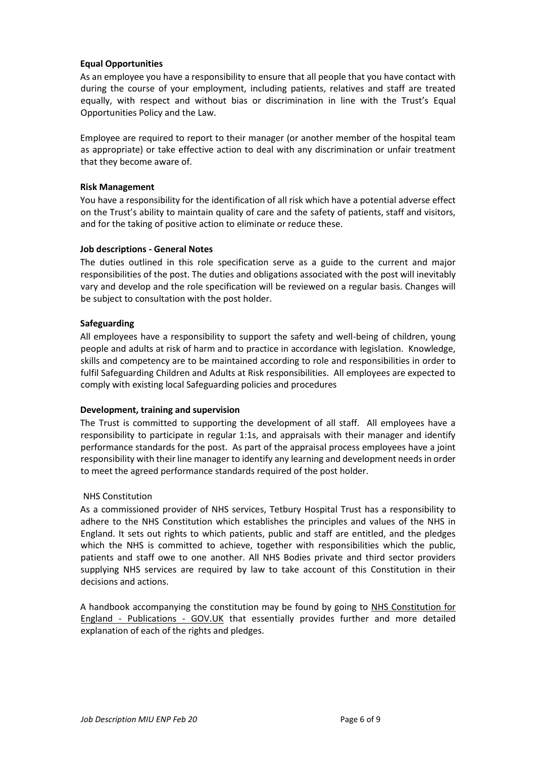# **Equal Opportunities**

As an employee you have a responsibility to ensure that all people that you have contact with during the course of your employment, including patients, relatives and staff are treated equally, with respect and without bias or discrimination in line with the Trust's Equal Opportunities Policy and the Law.

Employee are required to report to their manager (or another member of the hospital team as appropriate) or take effective action to deal with any discrimination or unfair treatment that they become aware of.

### **Risk Management**

You have a responsibility for the identification of all risk which have a potential adverse effect on the Trust's ability to maintain quality of care and the safety of patients, staff and visitors, and for the taking of positive action to eliminate or reduce these.

### **Job descriptions - General Notes**

The duties outlined in this role specification serve as a guide to the current and major responsibilities of the post. The duties and obligations associated with the post will inevitably vary and develop and the role specification will be reviewed on a regular basis. Changes will be subject to consultation with the post holder.

### **Safeguarding**

All employees have a responsibility to support the safety and well-being of children, young people and adults at risk of harm and to practice in accordance with legislation. Knowledge, skills and competency are to be maintained according to role and responsibilities in order to fulfil Safeguarding Children and Adults at Risk responsibilities. All employees are expected to comply with existing local Safeguarding policies and procedures

#### **Development, training and supervision**

The Trust is committed to supporting the development of all staff. All employees have a responsibility to participate in regular 1:1s, and appraisals with their manager and identify performance standards for the post. As part of the appraisal process employees have a joint responsibility with their line manager to identify any learning and development needs in order to meet the agreed performance standards required of the post holder.

# NHS Constitution

As a commissioned provider of NHS services, Tetbury Hospital Trust has a responsibility to adhere to the NHS Constitution which establishes the principles and values of the NHS in England. It sets out rights to which patients, public and staff are entitled, and the pledges which the NHS is committed to achieve, together with responsibilities which the public, patients and staff owe to one another. All NHS Bodies private and third sector providers supplying NHS services are required by law to take account of this Constitution in their decisions and actions.

A handbook accompanying the constitution may be found by going to [NHS Constitution for](https://www.gov.uk/government/publications/the-nhs-constitution-for-england) [England -](https://www.gov.uk/government/publications/the-nhs-constitution-for-england) [Publications -](https://www.gov.uk/government/publications/the-nhs-constitution-for-england) [GOV.UK](https://www.gov.uk/government/publications/the-nhs-constitution-for-england) that essentially provides further and more detailed explanation of each of the rights and pledges.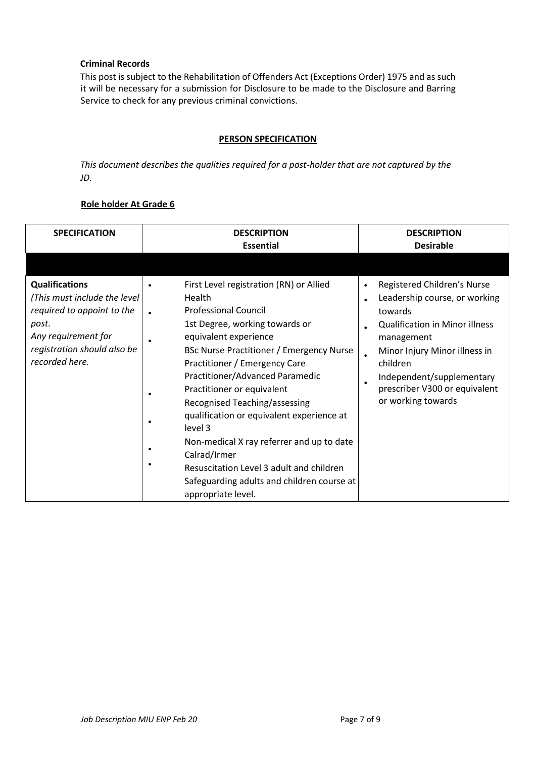# **Criminal Records**

This post is subject to the Rehabilitation of Offenders Act (Exceptions Order) 1975 and as such it will be necessary for a submission for Disclosure to be made to the Disclosure and Barring Service to check for any previous criminal convictions.

# **PERSON SPECIFICATION**

*This document describes the qualities required for a post-holder that are not captured by the JD.* 

# **Role holder At Grade 6**

| <b>SPECIFICATION</b>                                                                                                                                                  | <b>DESCRIPTION</b><br><b>Essential</b>                                                                                                                                                                                                                                                                                                                                                                                                          | <b>DESCRIPTION</b><br><b>Desirable</b>                                                                                                                                                                                                                                                                              |
|-----------------------------------------------------------------------------------------------------------------------------------------------------------------------|-------------------------------------------------------------------------------------------------------------------------------------------------------------------------------------------------------------------------------------------------------------------------------------------------------------------------------------------------------------------------------------------------------------------------------------------------|---------------------------------------------------------------------------------------------------------------------------------------------------------------------------------------------------------------------------------------------------------------------------------------------------------------------|
| <b>Qualifications</b><br>(This must include the level)<br>required to appoint to the<br>post.<br>Any requirement for<br>registration should also be<br>recorded here. | First Level registration (RN) or Allied<br>Health<br><b>Professional Council</b><br>1st Degree, working towards or<br>equivalent experience<br>BSc Nurse Practitioner / Emergency Nurse<br>Practitioner / Emergency Care<br>Practitioner/Advanced Paramedic<br>Practitioner or equivalent<br>Recognised Teaching/assessing<br>qualification or equivalent experience at<br>level 3<br>Non-medical X ray referrer and up to date<br>Calrad/Irmer | Registered Children's Nurse<br>$\bullet$<br>Leadership course, or working<br>$\bullet$<br>towards<br><b>Qualification in Minor illness</b><br>management<br>Minor Injury Minor illness in<br>$\bullet$<br>children<br>Independent/supplementary<br>$\bullet$<br>prescriber V300 or equivalent<br>or working towards |
|                                                                                                                                                                       | Resuscitation Level 3 adult and children<br>Safeguarding adults and children course at<br>appropriate level.                                                                                                                                                                                                                                                                                                                                    |                                                                                                                                                                                                                                                                                                                     |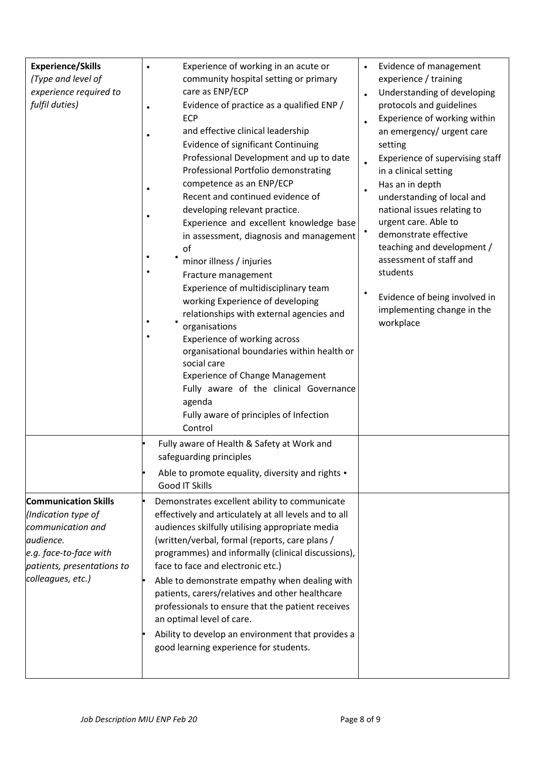| <b>Experience/Skills</b><br>(Type and level of<br>experience required to<br>fulfil duties)                                                                        | Experience of working in an acute or<br>community hospital setting or primary<br>care as ENP/ECP<br>Evidence of practice as a qualified ENP /<br><b>ECP</b><br>and effective clinical leadership<br>Evidence of significant Continuing<br>Professional Development and up to date<br>Professional Portfolio demonstrating<br>competence as an ENP/ECP<br>Recent and continued evidence of<br>developing relevant practice.<br>Experience and excellent knowledge base<br>in assessment, diagnosis and management<br>οf<br>minor illness / injuries<br>Fracture management<br>Experience of multidisciplinary team<br>working Experience of developing<br>relationships with external agencies and<br>organisations<br>Experience of working across<br>organisational boundaries within health or<br>social care<br><b>Experience of Change Management</b><br>Fully aware of the clinical Governance<br>agenda<br>Fully aware of principles of Infection<br>Control | Evidence of management<br>experience / training<br>Understanding of developing<br>$\bullet$<br>protocols and guidelines<br>Experience of working within<br>an emergency/ urgent care<br>setting<br>Experience of supervising staff<br>in a clinical setting<br>Has an in depth<br>understanding of local and<br>national issues relating to<br>urgent care. Able to<br>demonstrate effective<br>teaching and development /<br>assessment of staff and<br>students<br>Evidence of being involved in<br>implementing change in the<br>workplace |
|-------------------------------------------------------------------------------------------------------------------------------------------------------------------|--------------------------------------------------------------------------------------------------------------------------------------------------------------------------------------------------------------------------------------------------------------------------------------------------------------------------------------------------------------------------------------------------------------------------------------------------------------------------------------------------------------------------------------------------------------------------------------------------------------------------------------------------------------------------------------------------------------------------------------------------------------------------------------------------------------------------------------------------------------------------------------------------------------------------------------------------------------------|-----------------------------------------------------------------------------------------------------------------------------------------------------------------------------------------------------------------------------------------------------------------------------------------------------------------------------------------------------------------------------------------------------------------------------------------------------------------------------------------------------------------------------------------------|
|                                                                                                                                                                   | Fully aware of Health & Safety at Work and<br>safeguarding principles<br>Able to promote equality, diversity and rights .<br>Good IT Skills                                                                                                                                                                                                                                                                                                                                                                                                                                                                                                                                                                                                                                                                                                                                                                                                                        |                                                                                                                                                                                                                                                                                                                                                                                                                                                                                                                                               |
| <b>Communication Skills</b><br>(Indication type of<br>communication and<br>audience.<br>e.g. face-to-face with<br>patients, presentations to<br>colleagues, etc.) | Demonstrates excellent ability to communicate<br>effectively and articulately at all levels and to all<br>audiences skilfully utilising appropriate media<br>(written/verbal, formal (reports, care plans /<br>programmes) and informally (clinical discussions),<br>face to face and electronic etc.)<br>Able to demonstrate empathy when dealing with<br>patients, carers/relatives and other healthcare<br>professionals to ensure that the patient receives<br>an optimal level of care.<br>Ability to develop an environment that provides a<br>good learning experience for students.                                                                                                                                                                                                                                                                                                                                                                        |                                                                                                                                                                                                                                                                                                                                                                                                                                                                                                                                               |